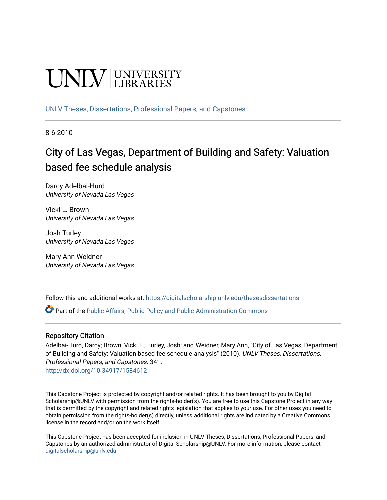# UNIV UNIVERSITY

[UNLV Theses, Dissertations, Professional Papers, and Capstones](https://digitalscholarship.unlv.edu/thesesdissertations)

8-6-2010

## City of Las Vegas, Department of Building and Safety: Valuation based fee schedule analysis

Darcy Adelbai-Hurd University of Nevada Las Vegas

Vicki L. Brown University of Nevada Las Vegas

Josh Turley University of Nevada Las Vegas

Mary Ann Weidner University of Nevada Las Vegas

Follow this and additional works at: [https://digitalscholarship.unlv.edu/thesesdissertations](https://digitalscholarship.unlv.edu/thesesdissertations?utm_source=digitalscholarship.unlv.edu%2Fthesesdissertations%2F341&utm_medium=PDF&utm_campaign=PDFCoverPages)

Part of the [Public Affairs, Public Policy and Public Administration Commons](http://network.bepress.com/hgg/discipline/393?utm_source=digitalscholarship.unlv.edu%2Fthesesdissertations%2F341&utm_medium=PDF&utm_campaign=PDFCoverPages) 

#### Repository Citation

Adelbai-Hurd, Darcy; Brown, Vicki L.; Turley, Josh; and Weidner, Mary Ann, "City of Las Vegas, Department of Building and Safety: Valuation based fee schedule analysis" (2010). UNLV Theses, Dissertations, Professional Papers, and Capstones. 341. <http://dx.doi.org/10.34917/1584612>

This Capstone Project is protected by copyright and/or related rights. It has been brought to you by Digital Scholarship@UNLV with permission from the rights-holder(s). You are free to use this Capstone Project in any way that is permitted by the copyright and related rights legislation that applies to your use. For other uses you need to obtain permission from the rights-holder(s) directly, unless additional rights are indicated by a Creative Commons license in the record and/or on the work itself.

This Capstone Project has been accepted for inclusion in UNLV Theses, Dissertations, Professional Papers, and Capstones by an authorized administrator of Digital Scholarship@UNLV. For more information, please contact [digitalscholarship@unlv.edu](mailto:digitalscholarship@unlv.edu).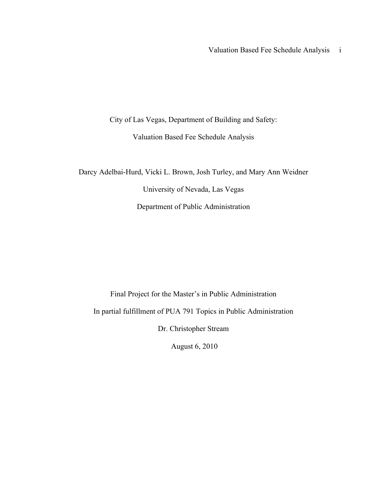Valuation Based Fee Schedule Analysis i

City of Las Vegas, Department of Building and Safety:

Valuation Based Fee Schedule Analysis

Darcy Adelbai-Hurd, Vicki L. Brown, Josh Turley, and Mary Ann Weidner University of Nevada, Las Vegas Department of Public Administration

Final Project for the Master's in Public Administration In partial fulfillment of PUA 791 Topics in Public Administration Dr. Christopher Stream

August 6, 2010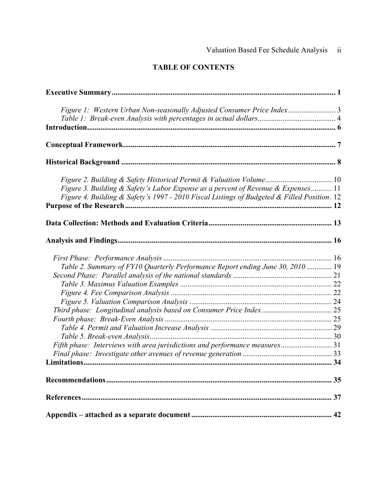### **TABLE OF CONTENTS**

| Figure 3. Building & Safety's Labor Expense as a percent of Revenue & Expenses 11<br>Figure 4. Building & Safety's 1997 - 2010 Fiscal Listings of Budgeted & Filled Position. 12 |  |
|----------------------------------------------------------------------------------------------------------------------------------------------------------------------------------|--|
|                                                                                                                                                                                  |  |
|                                                                                                                                                                                  |  |
|                                                                                                                                                                                  |  |
| Table 2. Summary of FY10 Quarterly Performance Report ending June 30, 2010  19                                                                                                   |  |
|                                                                                                                                                                                  |  |
|                                                                                                                                                                                  |  |
|                                                                                                                                                                                  |  |
|                                                                                                                                                                                  |  |
|                                                                                                                                                                                  |  |
|                                                                                                                                                                                  |  |
|                                                                                                                                                                                  |  |
|                                                                                                                                                                                  |  |
| Fifth phase: Interviews with area jurisdictions and performance measures 31                                                                                                      |  |
|                                                                                                                                                                                  |  |
|                                                                                                                                                                                  |  |
|                                                                                                                                                                                  |  |
|                                                                                                                                                                                  |  |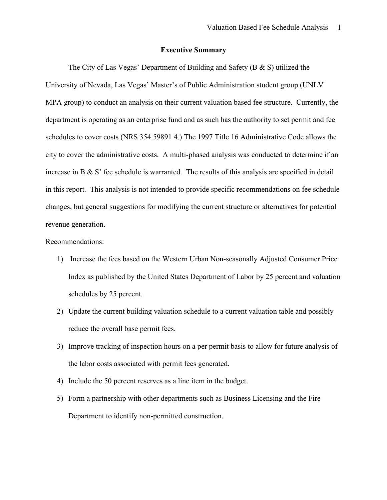#### **Executive Summary**

The City of Las Vegas' Department of Building and Safety (B & S) utilized the University of Nevada, Las Vegas' Master's of Public Administration student group (UNLV MPA group) to conduct an analysis on their current valuation based fee structure. Currently, the department is operating as an enterprise fund and as such has the authority to set permit and fee schedules to cover costs (NRS 354.59891 4.) The 1997 Title 16 Administrative Code allows the city to cover the administrative costs. A multi-phased analysis was conducted to determine if an increase in B & S' fee schedule is warranted. The results of this analysis are specified in detail in this report. This analysis is not intended to provide specific recommendations on fee schedule changes, but general suggestions for modifying the current structure or alternatives for potential revenue generation.

#### Recommendations:

- 1) Increase the fees based on the Western Urban Non-seasonally Adjusted Consumer Price Index as published by the United States Department of Labor by 25 percent and valuation schedules by 25 percent.
- 2) Update the current building valuation schedule to a current valuation table and possibly reduce the overall base permit fees.
- 3) Improve tracking of inspection hours on a per permit basis to allow for future analysis of the labor costs associated with permit fees generated.
- 4) Include the 50 percent reserves as a line item in the budget.
- 5) Form a partnership with other departments such as Business Licensing and the Fire Department to identify non-permitted construction.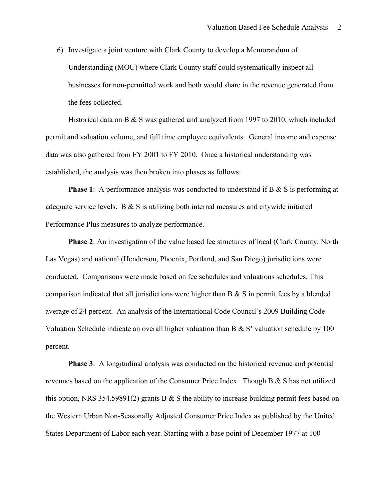6) Investigate a joint venture with Clark County to develop a Memorandum of Understanding (MOU) where Clark County staff could systematically inspect all businesses for non-permitted work and both would share in the revenue generated from the fees collected.

Historical data on B  $&$  S was gathered and analyzed from 1997 to 2010, which included permit and valuation volume, and full time employee equivalents. General income and expense data was also gathered from FY 2001 to FY 2010. Once a historical understanding was established, the analysis was then broken into phases as follows:

**Phase 1**: A performance analysis was conducted to understand if B & S is performing at adequate service levels. B  $\&$  S is utilizing both internal measures and citywide initiated Performance Plus measures to analyze performance.

**Phase 2**: An investigation of the value based fee structures of local (Clark County, North Las Vegas) and national (Henderson, Phoenix, Portland, and San Diego) jurisdictions were conducted. Comparisons were made based on fee schedules and valuations schedules. This comparison indicated that all jurisdictions were higher than B & S in permit fees by a blended average of 24 percent. An analysis of the International Code Council's 2009 Building Code Valuation Schedule indicate an overall higher valuation than B & S' valuation schedule by 100 percent.

**Phase 3**: A longitudinal analysis was conducted on the historical revenue and potential revenues based on the application of the Consumer Price Index. Though B & S has not utilized this option, NRS 354.59891(2) grants B  $\&$  S the ability to increase building permit fees based on the Western Urban Non-Seasonally Adjusted Consumer Price Index as published by the United States Department of Labor each year. Starting with a base point of December 1977 at 100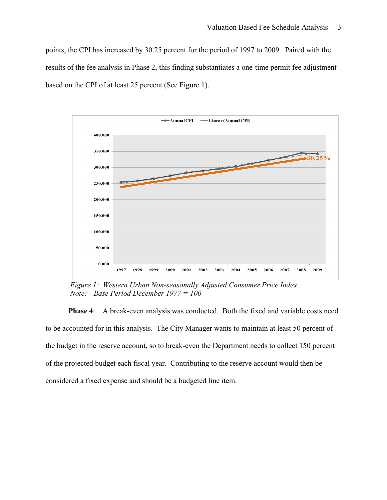points, the CPI has increased by 30.25 percent for the period of 1997 to 2009. Paired with the results of the fee analysis in Phase 2, this finding substantiates a one-time permit fee adjustment based on the CPI of at least 25 percent (See Figure 1).



 *Figure 1: Western Urban Non-seasonally Adjusted Consumer Price Index Note:Base Period December 1977 = 100*

**Phase 4:** A break-even analysis was conducted. Both the fixed and variable costs need to be accounted for in this analysis. The City Manager wants to maintain at least 50 percent of the budget in the reserve account, so to break-even the Department needs to collect 150 percent of the projected budget each fiscal year. Contributing to the reserve account would then be considered a fixed expense and should be a budgeted line item.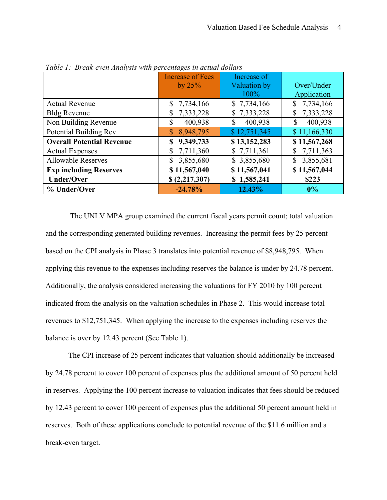|                                  | <b>Increase of Fees</b>     | Increase of   |                 |
|----------------------------------|-----------------------------|---------------|-----------------|
|                                  | by $25%$                    | Valuation by  | Over/Under      |
|                                  |                             | 100%          | Application     |
| <b>Actual Revenue</b>            | \$7,734,166                 | \$7,734,166   | 7,734,166<br>\$ |
| <b>Bldg Revenue</b>              | 7,333,228<br>$\mathbb{S}^-$ | \$7,333,228   | 7,333,228<br>\$ |
| Non Building Revenue             | 400,938<br>\$               | 400,938<br>\$ | 400,938         |
| Potential Building Rev           | 8,948,795                   | \$12,751,345  | \$11,166,330    |
| <b>Overall Potential Revenue</b> | 9,349,733                   | \$13,152,283  | \$11,567,268    |
| <b>Actual Expenses</b>           | \$7,711,360                 | \$7,711,361   | 7,711,363<br>\$ |
| <b>Allowable Reserves</b>        | 3,855,680<br>S.             | \$3,855,680   | 3,855,681<br>\$ |
| <b>Exp including Reserves</b>    | \$11,567,040                | \$11,567,041  | \$11,567,044    |
| <b>Under/Over</b>                | \$(2,217,307)               | \$1,585,241   | \$223           |
| % Under/Over                     | $-24.78%$                   | 12.43%        | 0%              |

*Table 1: Break-even Analysis with percentages in actual dollars*

 The UNLV MPA group examined the current fiscal years permit count; total valuation and the corresponding generated building revenues. Increasing the permit fees by 25 percent based on the CPI analysis in Phase 3 translates into potential revenue of \$8,948,795. When applying this revenue to the expenses including reserves the balance is under by 24.78 percent. Additionally, the analysis considered increasing the valuations for FY 2010 by 100 percent indicated from the analysis on the valuation schedules in Phase 2. This would increase total revenues to \$12,751,345. When applying the increase to the expenses including reserves the balance is over by 12.43 percent (See Table 1).

The CPI increase of 25 percent indicates that valuation should additionally be increased by 24.78 percent to cover 100 percent of expenses plus the additional amount of 50 percent held in reserves. Applying the 100 percent increase to valuation indicates that fees should be reduced by 12.43 percent to cover 100 percent of expenses plus the additional 50 percent amount held in reserves. Both of these applications conclude to potential revenue of the \$11.6 million and a break-even target.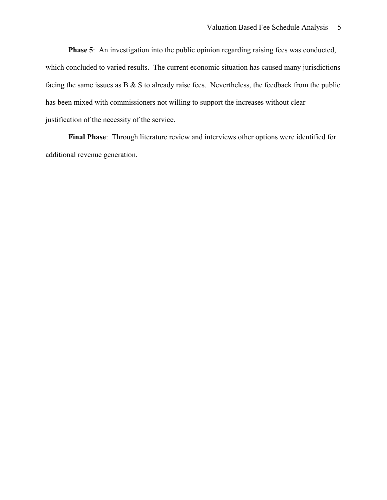**Phase 5**: An investigation into the public opinion regarding raising fees was conducted, which concluded to varied results. The current economic situation has caused many jurisdictions facing the same issues as B  $\&$  S to already raise fees. Nevertheless, the feedback from the public has been mixed with commissioners not willing to support the increases without clear justification of the necessity of the service.

**Final Phase**: Through literature review and interviews other options were identified for additional revenue generation.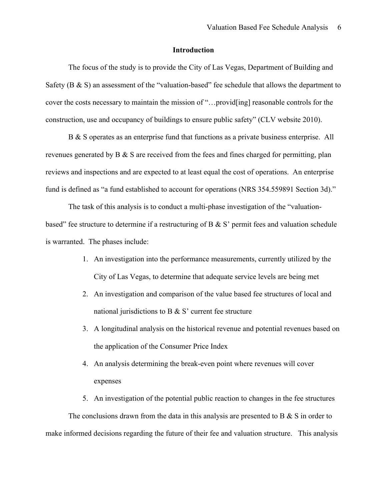#### **Introduction**

The focus of the study is to provide the City of Las Vegas, Department of Building and Safety ( $B \& S$ ) an assessment of the "valuation-based" fee schedule that allows the department to cover the costs necessary to maintain the mission of "…provid[ing] reasonable controls for the construction, use and occupancy of buildings to ensure public safety" (CLV website 2010).

B & S operates as an enterprise fund that functions as a private business enterprise. All revenues generated by B & S are received from the fees and fines charged for permitting, plan reviews and inspections and are expected to at least equal the cost of operations. An enterprise fund is defined as "a fund established to account for operations (NRS 354.559891 Section 3d)."

The task of this analysis is to conduct a multi-phase investigation of the "valuationbased" fee structure to determine if a restructuring of B & S' permit fees and valuation schedule is warranted. The phases include:

- 1. An investigation into the performance measurements, currently utilized by the City of Las Vegas, to determine that adequate service levels are being met
- 2. An investigation and comparison of the value based fee structures of local and national jurisdictions to B  $&$  S' current fee structure
- 3. A longitudinal analysis on the historical revenue and potential revenues based on the application of the Consumer Price Index
- 4. An analysis determining the break-even point where revenues will cover expenses
- 5. An investigation of the potential public reaction to changes in the fee structures

The conclusions drawn from the data in this analysis are presented to B  $\&$  S in order to make informed decisions regarding the future of their fee and valuation structure. This analysis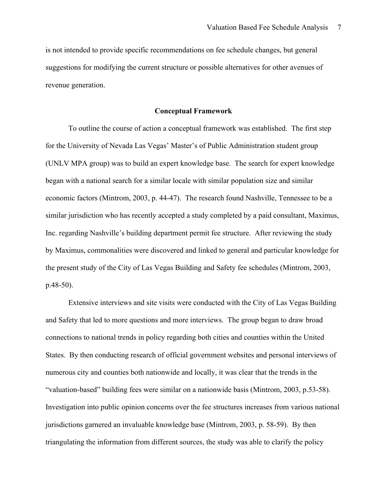is not intended to provide specific recommendations on fee schedule changes, but general suggestions for modifying the current structure or possible alternatives for other avenues of revenue generation.

#### **Conceptual Framework**

To outline the course of action a conceptual framework was established. The first step for the University of Nevada Las Vegas' Master's of Public Administration student group (UNLV MPA group) was to build an expert knowledge base. The search for expert knowledge began with a national search for a similar locale with similar population size and similar economic factors (Mintrom, 2003, p. 44-47). The research found Nashville, Tennessee to be a similar jurisdiction who has recently accepted a study completed by a paid consultant, Maximus, Inc. regarding Nashville's building department permit fee structure. After reviewing the study by Maximus, commonalities were discovered and linked to general and particular knowledge for the present study of the City of Las Vegas Building and Safety fee schedules (Mintrom, 2003, p.48-50).

Extensive interviews and site visits were conducted with the City of Las Vegas Building and Safety that led to more questions and more interviews. The group began to draw broad connections to national trends in policy regarding both cities and counties within the United States. By then conducting research of official government websites and personal interviews of numerous city and counties both nationwide and locally, it was clear that the trends in the "valuation-based" building fees were similar on a nationwide basis (Mintrom, 2003, p.53-58). Investigation into public opinion concerns over the fee structures increases from various national jurisdictions garnered an invaluable knowledge base (Mintrom, 2003, p. 58-59). By then triangulating the information from different sources, the study was able to clarify the policy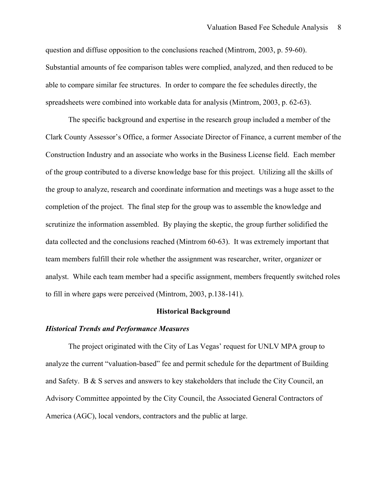question and diffuse opposition to the conclusions reached (Mintrom, 2003, p. 59-60). Substantial amounts of fee comparison tables were complied, analyzed, and then reduced to be able to compare similar fee structures. In order to compare the fee schedules directly, the spreadsheets were combined into workable data for analysis (Mintrom, 2003, p. 62-63).

The specific background and expertise in the research group included a member of the Clark County Assessor's Office, a former Associate Director of Finance, a current member of the Construction Industry and an associate who works in the Business License field. Each member of the group contributed to a diverse knowledge base for this project. Utilizing all the skills of the group to analyze, research and coordinate information and meetings was a huge asset to the completion of the project. The final step for the group was to assemble the knowledge and scrutinize the information assembled. By playing the skeptic, the group further solidified the data collected and the conclusions reached (Mintrom 60-63). It was extremely important that team members fulfill their role whether the assignment was researcher, writer, organizer or analyst. While each team member had a specific assignment, members frequently switched roles to fill in where gaps were perceived (Mintrom, 2003, p.138-141).

#### **Historical Background**

#### *Historical Trends and Performance Measures*

The project originated with the City of Las Vegas' request for UNLV MPA group to analyze the current "valuation-based" fee and permit schedule for the department of Building and Safety. B & S serves and answers to key stakeholders that include the City Council, an Advisory Committee appointed by the City Council, the Associated General Contractors of America (AGC), local vendors, contractors and the public at large.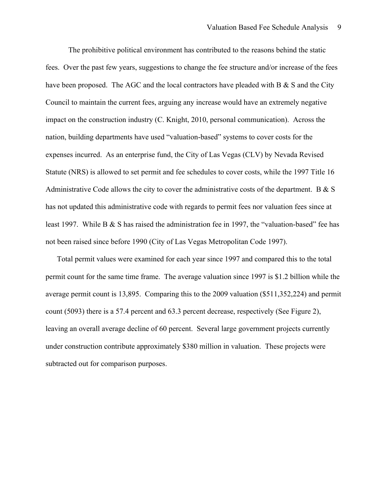The prohibitive political environment has contributed to the reasons behind the static fees. Over the past few years, suggestions to change the fee structure and/or increase of the fees have been proposed. The AGC and the local contractors have pleaded with B  $\&$  S and the City Council to maintain the current fees, arguing any increase would have an extremely negative impact on the construction industry (C. Knight, 2010, personal communication). Across the nation, building departments have used "valuation-based" systems to cover costs for the expenses incurred. As an enterprise fund, the City of Las Vegas (CLV) by Nevada Revised Statute (NRS) is allowed to set permit and fee schedules to cover costs, while the 1997 Title 16 Administrative Code allows the city to cover the administrative costs of the department. B & S has not updated this administrative code with regards to permit fees nor valuation fees since at least 1997. While B & S has raised the administration fee in 1997, the "valuation-based" fee has not been raised since before 1990 (City of Las Vegas Metropolitan Code 1997).

Total permit values were examined for each year since 1997 and compared this to the total permit count for the same time frame. The average valuation since 1997 is \$1.2 billion while the average permit count is 13,895. Comparing this to the 2009 valuation (\$511,352,224) and permit count (5093) there is a 57.4 percent and 63.3 percent decrease, respectively (See Figure 2), leaving an overall average decline of 60 percent. Several large government projects currently under construction contribute approximately \$380 million in valuation. These projects were subtracted out for comparison purposes.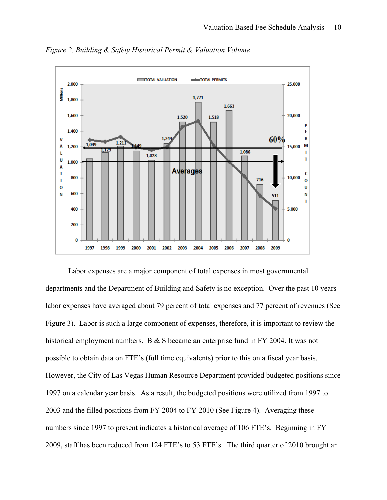

*Figure 2. Building & Safety Historical Permit & Valuation Volume* 

Labor expenses are a major component of total expenses in most governmental departments and the Department of Building and Safety is no exception. Over the past 10 years labor expenses have averaged about 79 percent of total expenses and 77 percent of revenues (See Figure 3). Labor is such a large component of expenses, therefore, it is important to review the historical employment numbers. B & S became an enterprise fund in FY 2004. It was not possible to obtain data on FTE's (full time equivalents) prior to this on a fiscal year basis. However, the City of Las Vegas Human Resource Department provided budgeted positions since 1997 on a calendar year basis. As a result, the budgeted positions were utilized from 1997 to 2003 and the filled positions from FY 2004 to FY 2010 (See Figure 4). Averaging these numbers since 1997 to present indicates a historical average of 106 FTE's. Beginning in FY 2009, staff has been reduced from 124 FTE's to 53 FTE's. The third quarter of 2010 brought an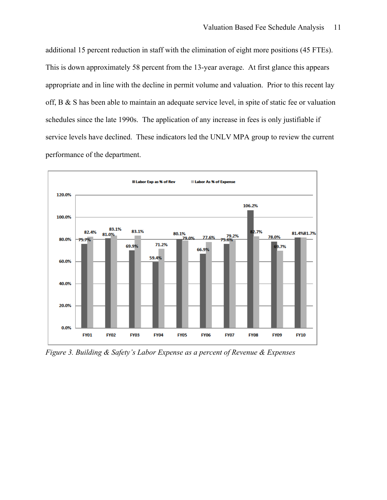additional 15 percent reduction in staff with the elimination of eight more positions (45 FTEs). This is down approximately 58 percent from the 13-year average. At first glance this appears appropriate and in line with the decline in permit volume and valuation. Prior to this recent lay off, B & S has been able to maintain an adequate service level, in spite of static fee or valuation schedules since the late 1990s. The application of any increase in fees is only justifiable if service levels have declined. These indicators led the UNLV MPA group to review the current performance of the department.



*Figure 3. Building & Safety's Labor Expense as a percent of Revenue & Expenses*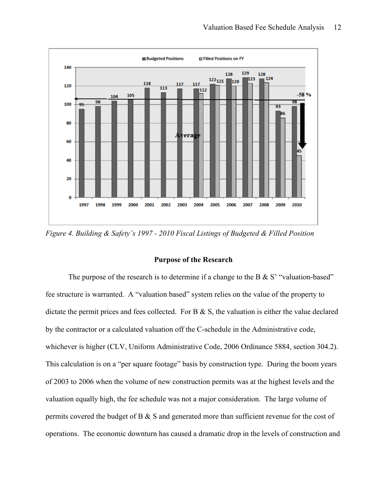

*Figure 4. Building & Safety's 1997 - 2010 Fiscal Listings of Budgeted & Filled Position* 

#### **Purpose of the Research**

The purpose of the research is to determine if a change to the B  $\& S'$  "valuation-based" fee structure is warranted. A "valuation based" system relies on the value of the property to dictate the permit prices and fees collected. For  $B \& S$ , the valuation is either the value declared by the contractor or a calculated valuation off the C-schedule in the Administrative code, whichever is higher (CLV, Uniform Administrative Code, 2006 Ordinance 5884, section 304.2). This calculation is on a "per square footage" basis by construction type. During the boom years of 2003 to 2006 when the volume of new construction permits was at the highest levels and the valuation equally high, the fee schedule was not a major consideration. The large volume of permits covered the budget of B & S and generated more than sufficient revenue for the cost of operations. The economic downturn has caused a dramatic drop in the levels of construction and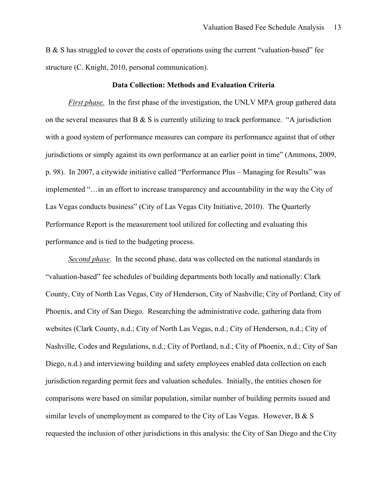B & S has struggled to cover the costs of operations using the current "valuation-based" fee structure (C. Knight, 2010, personal communication).

#### **Data Collection: Methods and Evaluation Criteria**

*First phase.* In the first phase of the investigation, the UNLV MPA group gathered data on the several measures that  $B \& S$  is currently utilizing to track performance. "A jurisdiction with a good system of performance measures can compare its performance against that of other jurisdictions or simply against its own performance at an earlier point in time" (Ammons, 2009, p. 98). In 2007, a citywide initiative called "Performance Plus – Managing for Results" was implemented "…in an effort to increase transparency and accountability in the way the City of Las Vegas conducts business" (City of Las Vegas City Initiative, 2010). The Quarterly Performance Report is the measurement tool utilized for collecting and evaluating this performance and is tied to the budgeting process.

*Second phase*. In the second phase, data was collected on the national standards in "valuation-based" fee schedules of building departments both locally and nationally: Clark County, City of North Las Vegas, City of Henderson, City of Nashville; City of Portland; City of Phoenix, and City of San Diego. Researching the administrative code, gathering data from websites (Clark County, n.d.; City of North Las Vegas, n.d.; City of Henderson, n.d.; City of Nashville, Codes and Regulations, n.d.; City of Portland, n.d.; City of Phoenix, n.d.; City of San Diego, n.d.) and interviewing building and safety employees enabled data collection on each jurisdiction regarding permit fees and valuation schedules. Initially, the entities chosen for comparisons were based on similar population, similar number of building permits issued and similar levels of unemployment as compared to the City of Las Vegas. However, B & S requested the inclusion of other jurisdictions in this analysis: the City of San Diego and the City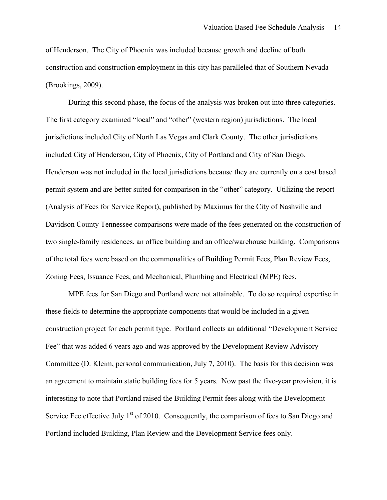of Henderson. The City of Phoenix was included because growth and decline of both construction and construction employment in this city has paralleled that of Southern Nevada (Brookings, 2009).

During this second phase, the focus of the analysis was broken out into three categories. The first category examined "local" and "other" (western region) jurisdictions. The local jurisdictions included City of North Las Vegas and Clark County. The other jurisdictions included City of Henderson, City of Phoenix, City of Portland and City of San Diego. Henderson was not included in the local jurisdictions because they are currently on a cost based permit system and are better suited for comparison in the "other" category. Utilizing the report (Analysis of Fees for Service Report), published by Maximus for the City of Nashville and Davidson County Tennessee comparisons were made of the fees generated on the construction of two single-family residences, an office building and an office/warehouse building. Comparisons of the total fees were based on the commonalities of Building Permit Fees, Plan Review Fees, Zoning Fees, Issuance Fees, and Mechanical, Plumbing and Electrical (MPE) fees.

MPE fees for San Diego and Portland were not attainable. To do so required expertise in these fields to determine the appropriate components that would be included in a given construction project for each permit type. Portland collects an additional "Development Service Fee" that was added 6 years ago and was approved by the Development Review Advisory Committee (D. Kleim, personal communication, July 7, 2010). The basis for this decision was an agreement to maintain static building fees for 5 years. Now past the five-year provision, it is interesting to note that Portland raised the Building Permit fees along with the Development Service Fee effective July  $1<sup>st</sup>$  of 2010. Consequently, the comparison of fees to San Diego and Portland included Building, Plan Review and the Development Service fees only.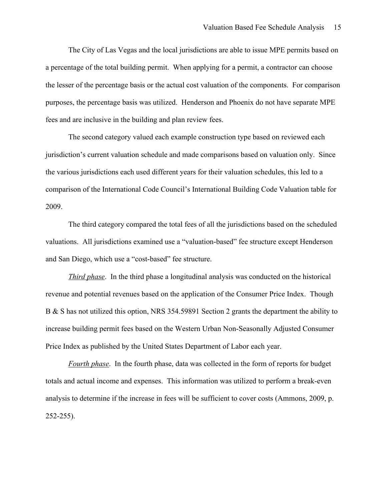The City of Las Vegas and the local jurisdictions are able to issue MPE permits based on a percentage of the total building permit. When applying for a permit, a contractor can choose the lesser of the percentage basis or the actual cost valuation of the components. For comparison purposes, the percentage basis was utilized. Henderson and Phoenix do not have separate MPE fees and are inclusive in the building and plan review fees.

The second category valued each example construction type based on reviewed each jurisdiction's current valuation schedule and made comparisons based on valuation only. Since the various jurisdictions each used different years for their valuation schedules, this led to a comparison of the International Code Council's International Building Code Valuation table for 2009.

The third category compared the total fees of all the jurisdictions based on the scheduled valuations. All jurisdictions examined use a "valuation-based" fee structure except Henderson and San Diego, which use a "cost-based" fee structure.

*Third phase*. In the third phase a longitudinal analysis was conducted on the historical revenue and potential revenues based on the application of the Consumer Price Index. Though B & S has not utilized this option, NRS 354.59891 Section 2 grants the department the ability to increase building permit fees based on the Western Urban Non-Seasonally Adjusted Consumer Price Index as published by the United States Department of Labor each year.

*Fourth phase*. In the fourth phase, data was collected in the form of reports for budget totals and actual income and expenses. This information was utilized to perform a break-even analysis to determine if the increase in fees will be sufficient to cover costs (Ammons, 2009, p. 252-255).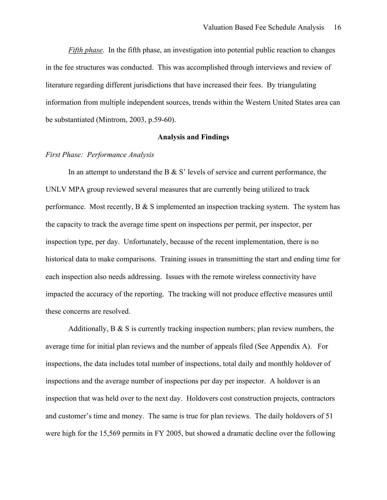*Fifth phase*. In the fifth phase, an investigation into potential public reaction to changes in the fee structures was conducted. This was accomplished through interviews and review of literature regarding different jurisdictions that have increased their fees. By triangulating information from multiple independent sources, trends within the Western United States area can be substantiated (Mintrom, 2003, p.59-60).

#### **Analysis and Findings**

#### *First Phase: Performance Analysis*

In an attempt to understand the B  $\&$  S' levels of service and current performance, the UNLV MPA group reviewed several measures that are currently being utilized to track performance. Most recently,  $B \& S$  implemented an inspection tracking system. The system has the capacity to track the average time spent on inspections per permit, per inspector, per inspection type, per day. Unfortunately, because of the recent implementation, there is no historical data to make comparisons. Training issues in transmitting the start and ending time for each inspection also needs addressing. Issues with the remote wireless connectivity have impacted the accuracy of the reporting. The tracking will not produce effective measures until these concerns are resolved.

Additionally,  $B \& S$  is currently tracking inspection numbers; plan review numbers, the average time for initial plan reviews and the number of appeals filed (See Appendix A). For inspections, the data includes total number of inspections, total daily and monthly holdover of inspections and the average number of inspections per day per inspector. A holdover is an inspection that was held over to the next day. Holdovers cost construction projects, contractors and customer's time and money. The same is true for plan reviews. The daily holdovers of 51 were high for the 15,569 permits in FY 2005, but showed a dramatic decline over the following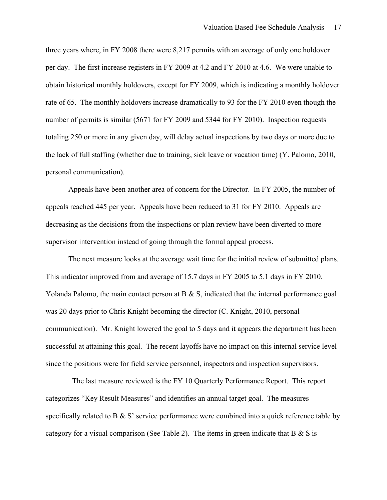three years where, in FY 2008 there were 8,217 permits with an average of only one holdover per day. The first increase registers in FY 2009 at 4.2 and FY 2010 at 4.6. We were unable to obtain historical monthly holdovers, except for FY 2009, which is indicating a monthly holdover rate of 65. The monthly holdovers increase dramatically to 93 for the FY 2010 even though the number of permits is similar (5671 for FY 2009 and 5344 for FY 2010). Inspection requests totaling 250 or more in any given day, will delay actual inspections by two days or more due to the lack of full staffing (whether due to training, sick leave or vacation time) (Y. Palomo, 2010, personal communication).

Appeals have been another area of concern for the Director. In FY 2005, the number of appeals reached 445 per year. Appeals have been reduced to 31 for FY 2010. Appeals are decreasing as the decisions from the inspections or plan review have been diverted to more supervisor intervention instead of going through the formal appeal process.

The next measure looks at the average wait time for the initial review of submitted plans. This indicator improved from and average of 15.7 days in FY 2005 to 5.1 days in FY 2010. Yolanda Palomo, the main contact person at B & S, indicated that the internal performance goal was 20 days prior to Chris Knight becoming the director (C. Knight, 2010, personal communication). Mr. Knight lowered the goal to 5 days and it appears the department has been successful at attaining this goal. The recent layoffs have no impact on this internal service level since the positions were for field service personnel, inspectors and inspection supervisors.

 The last measure reviewed is the FY 10 Quarterly Performance Report. This report categorizes "Key Result Measures" and identifies an annual target goal. The measures specifically related to B & S' service performance were combined into a quick reference table by category for a visual comparison (See Table 2). The items in green indicate that B  $\&$  S is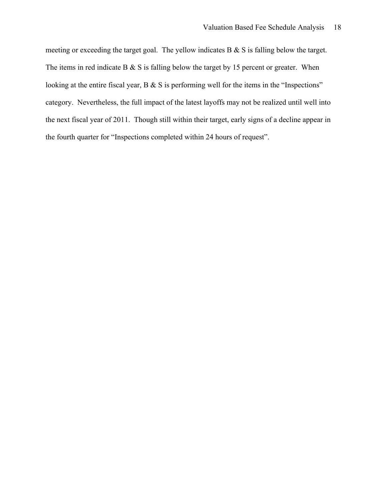meeting or exceeding the target goal. The yellow indicates B & S is falling below the target. The items in red indicate B  $\&$  S is falling below the target by 15 percent or greater. When looking at the entire fiscal year, B & S is performing well for the items in the "Inspections" category. Nevertheless, the full impact of the latest layoffs may not be realized until well into the next fiscal year of 2011. Though still within their target, early signs of a decline appear in the fourth quarter for "Inspections completed within 24 hours of request".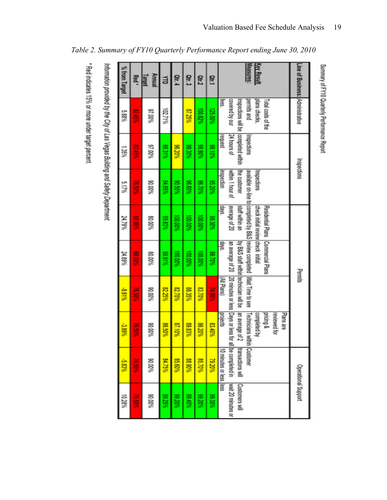Information provided by the City of Las Vegas Building and Safety Department.

 $\overline{\phantom{a}}$ 

| Table 2. Summary of FY10 Quarterly Performance Report ending June 30, 2010 |  |
|----------------------------------------------------------------------------|--|
|                                                                            |  |

| Line of Business: Administrative |                                       |                                 | Inspections                      |                                                         | Permits                                                                                               |               |                           | <b>Operational Support</b>           |                                      |
|----------------------------------|---------------------------------------|---------------------------------|----------------------------------|---------------------------------------------------------|-------------------------------------------------------------------------------------------------------|---------------|---------------------------|--------------------------------------|--------------------------------------|
|                                  |                                       |                                 |                                  |                                                         |                                                                                                       |               | Plans are<br>reviewed for |                                      |                                      |
| <b>Key Result</b>                | plans checks,<br>Total costs of the   |                                 | Inspections                      | Residential Plans<br>check initial review check initial | Commercial Plans                                                                                      |               | pricing &<br>completed by |                                      |                                      |
| Measures:                        | permits and                           | Inspections                     |                                  |                                                         | assistant on line to longificated by B&S leview completed [Wait Time to see                           |               | Technicians within        | Customer                             |                                      |
|                                  | covered by our<br>inspections will be | completed within<br>10 sunou yZ | within 1 hour of<br>the customer | Istaff within an<br>average of 20                       | by B&S staff within lechnician will be<br>an average of 20   20 minutes or less   Days or less for al |               | an average of 2           | be completed in<br>transactions will | wait 20 minutes or<br>Customers will |
|                                  | 59QI                                  | request                         | mspection                        | cays.                                                   | aws.                                                                                                  | (All Plans)   | projects                  | 10 minutes or less liess             |                                      |
| Otr.1                            | 125.00%                               | %0166                           | %0Z56                            | 89.30%                                                  | %02'66                                                                                                | <b>74.90%</b> | 83.40%                    | %0Z6Z                                | 80.30%                               |
| Ctr.2                            | 100.82%                               | %06'86                          | %0/36                            | 100,00%                                                 | 100.00%                                                                                               | 83.70%        | %0Z98                     | 85,70%                               | %0Z66                                |
| Off.3                            | 87.25%                                | %0C66                           | %09.96                           | %00'001                                                 | 100.00%                                                                                               | 88.35%        | 89.83%                    | %06'88                               | %0766                                |
| Qtr. 4                           |                                       | %02%                            | %090%                            | 100,00%                                                 | 100,00%                                                                                               | %0238         | 87.10%                    | 85,60%                               | %0266                                |
| 旨                                | 102.71%                               | 88.31%                          | %9916                            | 89.83%                                                  | 89.91%                                                                                                | 82.25%        | 88.50%                    | 84.75%                               | 89.25%                               |
| Annual<br>lapot                  | %0016                                 | %00'/6                          | %00'06                           | %0008                                                   | %00'08                                                                                                | %00'06        | %0006                     | %00'06                               | %00'06                               |
| Red.                             | <b>9519%</b>                          | <b>PS 45%</b>                   | <b>76.50%</b>                    | <b>98.00%</b>                                           | 88.00%                                                                                                | 76.50%        | <b>76.50%</b>             | <b>76.50%</b>                        | <b>76.50%</b>                        |
| % from Target                    | \$88%                                 | $1.35\%$                        | 5.17%                            | 24.79%                                                  | 24.89%                                                                                                | 8.61%         | -3.89%                    | -5.83%                               | 10.28%                               |

Summary of FY10 Quarterly Performance Report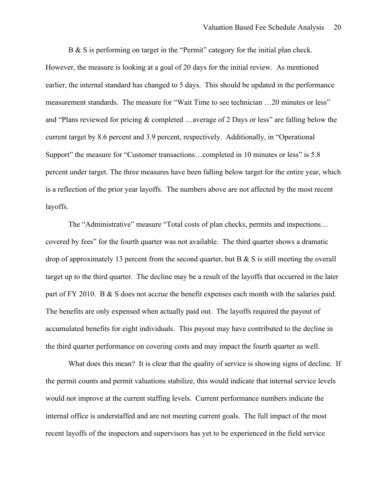B & S is performing on target in the "Permit" category for the initial plan check. However, the measure is looking at a goal of 20 days for the initial review. As mentioned earlier, the internal standard has changed to 5 days. This should be updated in the performance measurement standards. The measure for "Wait Time to see technician …20 minutes or less" and "Plans reviewed for pricing & completed …average of 2 Days or less" are falling below the current target by 8.6 percent and 3.9 percent, respectively. Additionally, in "Operational Support" the measure for "Customer transactions...completed in 10 minutes or less" is 5.8 percent under target. The three measures have been falling below target for the entire year, which is a reflection of the prior year layoffs. The numbers above are not affected by the most recent layoffs.

The "Administrative" measure "Total costs of plan checks, permits and inspections… covered by fees" for the fourth quarter was not available. The third quarter shows a dramatic drop of approximately 13 percent from the second quarter, but  $B \& S$  is still meeting the overall target up to the third quarter. The decline may be a result of the layoffs that occurred in the later part of FY 2010. B & S does not accrue the benefit expenses each month with the salaries paid. The benefits are only expensed when actually paid out. The layoffs required the payout of accumulated benefits for eight individuals. This payout may have contributed to the decline in the third quarter performance on covering costs and may impact the fourth quarter as well.

What does this mean? It is clear that the quality of service is showing signs of decline. If the permit counts and permit valuations stabilize, this would indicate that internal service levels would not improve at the current staffing levels. Current performance numbers indicate the internal office is understaffed and are not meeting current goals. The full impact of the most recent layoffs of the inspectors and supervisors has yet to be experienced in the field service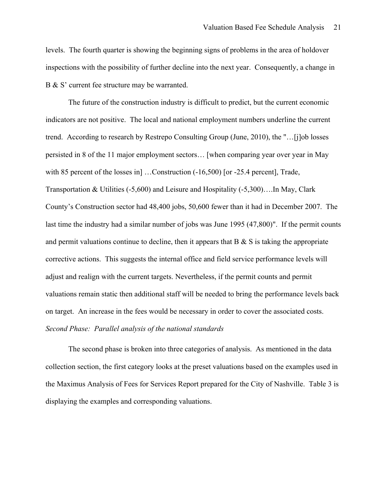levels. The fourth quarter is showing the beginning signs of problems in the area of holdover inspections with the possibility of further decline into the next year. Consequently, a change in B & S' current fee structure may be warranted.

The future of the construction industry is difficult to predict, but the current economic indicators are not positive. The local and national employment numbers underline the current trend. According to research by Restrepo Consulting Group (June, 2010), the "…[j]ob losses persisted in 8 of the 11 major employment sectors… [when comparing year over year in May with 85 percent of the losses in [...Construction  $(-16,500)$  [or  $-25.4$  percent], Trade, Transportation & Utilities (-5,600) and Leisure and Hospitality (-5,300)….In May, Clark County's Construction sector had 48,400 jobs, 50,600 fewer than it had in December 2007. The last time the industry had a similar number of jobs was June 1995 (47,800)". If the permit counts and permit valuations continue to decline, then it appears that  $B \& S$  is taking the appropriate corrective actions. This suggests the internal office and field service performance levels will adjust and realign with the current targets. Nevertheless, if the permit counts and permit valuations remain static then additional staff will be needed to bring the performance levels back on target. An increase in the fees would be necessary in order to cover the associated costs. *Second Phase: Parallel analysis of the national standards*

The second phase is broken into three categories of analysis. As mentioned in the data collection section, the first category looks at the preset valuations based on the examples used in the Maximus Analysis of Fees for Services Report prepared for the City of Nashville. Table 3 is displaying the examples and corresponding valuations.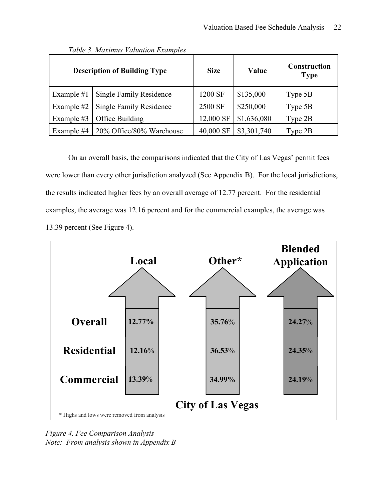|              | <b>Description of Building Type</b> | <b>Size</b> | Value       | <b>Construction</b><br><b>Type</b> |
|--------------|-------------------------------------|-------------|-------------|------------------------------------|
| Example $#1$ | Single Family Residence             | 1200 SF     | \$135,000   | Type $5B$                          |
| Example #2   | Single Family Residence             | 2500 SF     | \$250,000   | Type 5B                            |
| Example #3   | Office Building                     | 12,000 SF   | \$1,636,080 | Type 2B                            |
| Example #4   | 20% Office/80% Warehouse            | 40,000 SF   | \$3,301,740 | Type 2B                            |

*Table 3. Maximus Valuation Examples*

On an overall basis, the comparisons indicated that the City of Las Vegas' permit fees were lower than every other jurisdiction analyzed (See Appendix B). For the local jurisdictions, the results indicated higher fees by an overall average of 12.77 percent. For the residential examples, the average was 12.16 percent and for the commercial examples, the average was 13.39 percent (See Figure 4).



*Figure 4. Fee Comparison Analysis Note: From analysis shown in Appendix B*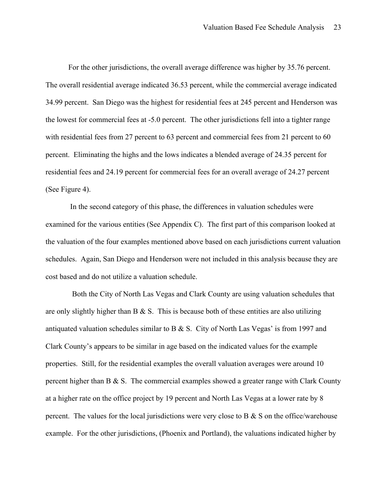For the other jurisdictions, the overall average difference was higher by 35.76 percent. The overall residential average indicated 36.53 percent, while the commercial average indicated 34.99 percent. San Diego was the highest for residential fees at 245 percent and Henderson was the lowest for commercial fees at -5.0 percent. The other jurisdictions fell into a tighter range with residential fees from 27 percent to 63 percent and commercial fees from 21 percent to 60 percent. Eliminating the highs and the lows indicates a blended average of 24.35 percent for residential fees and 24.19 percent for commercial fees for an overall average of 24.27 percent (See Figure 4).

 In the second category of this phase, the differences in valuation schedules were examined for the various entities (See Appendix C). The first part of this comparison looked at the valuation of the four examples mentioned above based on each jurisdictions current valuation schedules. Again, San Diego and Henderson were not included in this analysis because they are cost based and do not utilize a valuation schedule.

 Both the City of North Las Vegas and Clark County are using valuation schedules that are only slightly higher than  $B \& S$ . This is because both of these entities are also utilizing antiquated valuation schedules similar to B  $\&$  S. City of North Las Vegas' is from 1997 and Clark County's appears to be similar in age based on the indicated values for the example properties. Still, for the residential examples the overall valuation averages were around 10 percent higher than B  $\& S$ . The commercial examples showed a greater range with Clark County at a higher rate on the office project by 19 percent and North Las Vegas at a lower rate by 8 percent. The values for the local jurisdictions were very close to B  $\&$  S on the office/warehouse example. For the other jurisdictions, (Phoenix and Portland), the valuations indicated higher by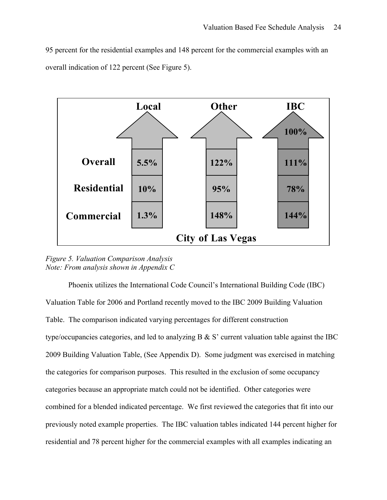95 percent for the residential examples and 148 percent for the commercial examples with an overall indication of 122 percent (See Figure 5).



*Figure 5. Valuation Comparison Analysis Note: From analysis shown in Appendix C*

Phoenix utilizes the International Code Council's International Building Code (IBC) Valuation Table for 2006 and Portland recently moved to the IBC 2009 Building Valuation Table. The comparison indicated varying percentages for different construction type/occupancies categories, and led to analyzing  $B \& S'$  current valuation table against the IBC 2009 Building Valuation Table, (See Appendix D). Some judgment was exercised in matching the categories for comparison purposes. This resulted in the exclusion of some occupancy categories because an appropriate match could not be identified. Other categories were combined for a blended indicated percentage. We first reviewed the categories that fit into our previously noted example properties. The IBC valuation tables indicated 144 percent higher for residential and 78 percent higher for the commercial examples with all examples indicating an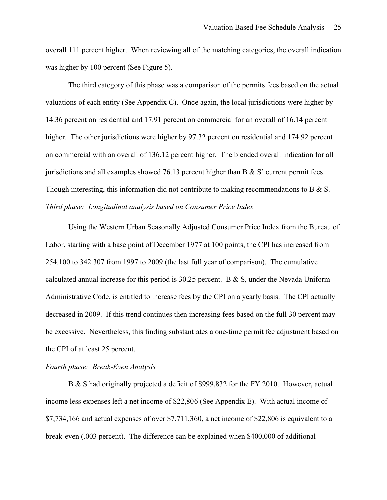overall 111 percent higher. When reviewing all of the matching categories, the overall indication was higher by 100 percent (See Figure 5).

The third category of this phase was a comparison of the permits fees based on the actual valuations of each entity (See Appendix C). Once again, the local jurisdictions were higher by 14.36 percent on residential and 17.91 percent on commercial for an overall of 16.14 percent higher. The other jurisdictions were higher by 97.32 percent on residential and 174.92 percent on commercial with an overall of 136.12 percent higher. The blended overall indication for all jurisdictions and all examples showed 76.13 percent higher than B  $\&$  S' current permit fees. Though interesting, this information did not contribute to making recommendations to B & S. *Third phase: Longitudinal analysis based on Consumer Price Index* 

Using the Western Urban Seasonally Adjusted Consumer Price Index from the Bureau of Labor, starting with a base point of December 1977 at 100 points, the CPI has increased from 254.100 to 342.307 from 1997 to 2009 (the last full year of comparison). The cumulative calculated annual increase for this period is 30.25 percent. B  $\&$  S, under the Nevada Uniform Administrative Code, is entitled to increase fees by the CPI on a yearly basis. The CPI actually decreased in 2009. If this trend continues then increasing fees based on the full 30 percent may be excessive. Nevertheless, this finding substantiates a one-time permit fee adjustment based on the CPI of at least 25 percent.

#### *Fourth phase: Break-Even Analysis*

B & S had originally projected a deficit of \$999,832 for the FY 2010. However, actual income less expenses left a net income of \$22,806 (See Appendix E). With actual income of \$7,734,166 and actual expenses of over \$7,711,360, a net income of \$22,806 is equivalent to a break-even (.003 percent). The difference can be explained when \$400,000 of additional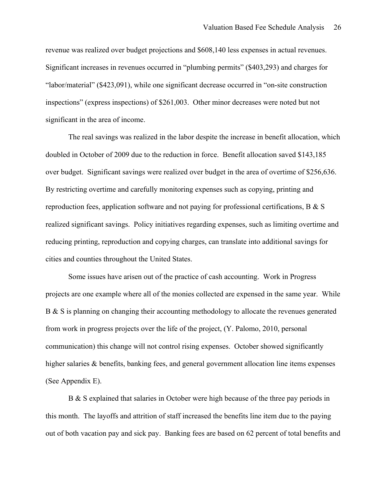revenue was realized over budget projections and \$608,140 less expenses in actual revenues. Significant increases in revenues occurred in "plumbing permits" (\$403,293) and charges for "labor/material" (\$423,091), while one significant decrease occurred in "on-site construction inspections" (express inspections) of \$261,003. Other minor decreases were noted but not significant in the area of income.

The real savings was realized in the labor despite the increase in benefit allocation, which doubled in October of 2009 due to the reduction in force. Benefit allocation saved \$143,185 over budget. Significant savings were realized over budget in the area of overtime of \$256,636. By restricting overtime and carefully monitoring expenses such as copying, printing and reproduction fees, application software and not paying for professional certifications, B & S realized significant savings. Policy initiatives regarding expenses, such as limiting overtime and reducing printing, reproduction and copying charges, can translate into additional savings for cities and counties throughout the United States.

Some issues have arisen out of the practice of cash accounting. Work in Progress projects are one example where all of the monies collected are expensed in the same year. While B & S is planning on changing their accounting methodology to allocate the revenues generated from work in progress projects over the life of the project, (Y. Palomo, 2010, personal communication) this change will not control rising expenses. October showed significantly higher salaries & benefits, banking fees, and general government allocation line items expenses (See Appendix E).

B & S explained that salaries in October were high because of the three pay periods in this month. The layoffs and attrition of staff increased the benefits line item due to the paying out of both vacation pay and sick pay. Banking fees are based on 62 percent of total benefits and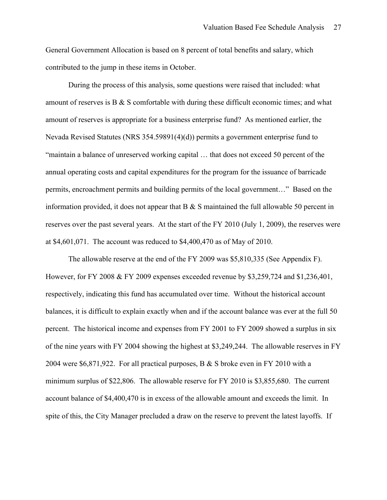General Government Allocation is based on 8 percent of total benefits and salary, which contributed to the jump in these items in October.

During the process of this analysis, some questions were raised that included: what amount of reserves is B & S comfortable with during these difficult economic times; and what amount of reserves is appropriate for a business enterprise fund? As mentioned earlier, the Nevada Revised Statutes (NRS 354.59891(4)(d)) permits a government enterprise fund to "maintain a balance of unreserved working capital … that does not exceed 50 percent of the annual operating costs and capital expenditures for the program for the issuance of barricade permits, encroachment permits and building permits of the local government…" Based on the information provided, it does not appear that  $B \& S$  maintained the full allowable 50 percent in reserves over the past several years. At the start of the FY 2010 (July 1, 2009), the reserves were at \$4,601,071. The account was reduced to \$4,400,470 as of May of 2010.

The allowable reserve at the end of the FY 2009 was \$5,810,335 (See Appendix F). However, for FY 2008 & FY 2009 expenses exceeded revenue by \$3,259,724 and \$1,236,401, respectively, indicating this fund has accumulated over time. Without the historical account balances, it is difficult to explain exactly when and if the account balance was ever at the full 50 percent. The historical income and expenses from FY 2001 to FY 2009 showed a surplus in six of the nine years with FY 2004 showing the highest at \$3,249,244. The allowable reserves in FY 2004 were \$6,871,922. For all practical purposes, B & S broke even in FY 2010 with a minimum surplus of \$22,806. The allowable reserve for FY 2010 is \$3,855,680. The current account balance of \$4,400,470 is in excess of the allowable amount and exceeds the limit. In spite of this, the City Manager precluded a draw on the reserve to prevent the latest layoffs. If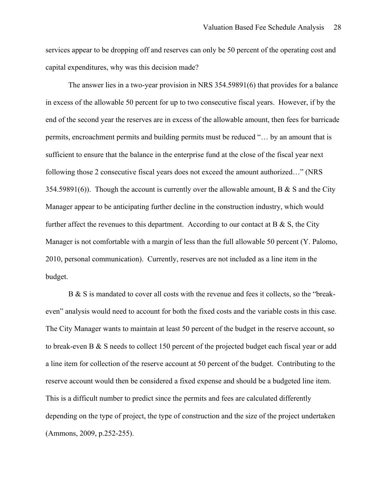services appear to be dropping off and reserves can only be 50 percent of the operating cost and capital expenditures, why was this decision made?

The answer lies in a two-year provision in NRS 354.59891(6) that provides for a balance in excess of the allowable 50 percent for up to two consecutive fiscal years. However, if by the end of the second year the reserves are in excess of the allowable amount, then fees for barricade permits, encroachment permits and building permits must be reduced "… by an amount that is sufficient to ensure that the balance in the enterprise fund at the close of the fiscal year next following those 2 consecutive fiscal years does not exceed the amount authorized…" (NRS 354.59891(6)). Though the account is currently over the allowable amount, B  $\&$  S and the City Manager appear to be anticipating further decline in the construction industry, which would further affect the revenues to this department. According to our contact at  $B \& S$ , the City Manager is not comfortable with a margin of less than the full allowable 50 percent (Y. Palomo, 2010, personal communication). Currently, reserves are not included as a line item in the budget.

B & S is mandated to cover all costs with the revenue and fees it collects, so the "breakeven" analysis would need to account for both the fixed costs and the variable costs in this case. The City Manager wants to maintain at least 50 percent of the budget in the reserve account, so to break-even B & S needs to collect 150 percent of the projected budget each fiscal year or add a line item for collection of the reserve account at 50 percent of the budget. Contributing to the reserve account would then be considered a fixed expense and should be a budgeted line item. This is a difficult number to predict since the permits and fees are calculated differently depending on the type of project, the type of construction and the size of the project undertaken (Ammons, 2009, p.252-255).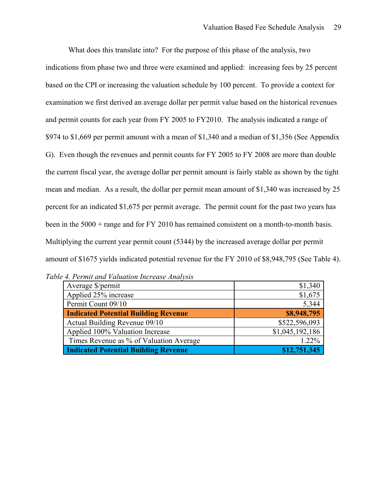What does this translate into? For the purpose of this phase of the analysis, two indications from phase two and three were examined and applied: increasing fees by 25 percent based on the CPI or increasing the valuation schedule by 100 percent. To provide a context for examination we first derived an average dollar per permit value based on the historical revenues and permit counts for each year from FY 2005 to FY2010. The analysis indicated a range of \$974 to \$1,669 per permit amount with a mean of \$1,340 and a median of \$1,356 (See Appendix G). Even though the revenues and permit counts for FY 2005 to FY 2008 are more than double the current fiscal year, the average dollar per permit amount is fairly stable as shown by the tight mean and median. As a result, the dollar per permit mean amount of \$1,340 was increased by 25 percent for an indicated \$1,675 per permit average. The permit count for the past two years has been in the 5000 + range and for FY 2010 has remained consistent on a month-to-month basis. Multiplying the current year permit count (5344) by the increased average dollar per permit amount of \$1675 yields indicated potential revenue for the FY 2010 of \$8,948,795 (See Table 4).

| Average \$/permit                           | \$1,340         |
|---------------------------------------------|-----------------|
| Applied 25% increase                        | \$1,675         |
| Permit Count 09/10                          | 5,344           |
| <b>Indicated Potential Building Revenue</b> | \$8,948,795     |
| Actual Building Revenue 09/10               | \$522,596,093   |
| Applied 100% Valuation Increase             | \$1,045,192,186 |
| Times Revenue as % of Valuation Average     | 1.22%           |
| <b>Indicated Potential Building Revenue</b> | \$12,751,345    |

|  | Table 4. Permit and Valuation Increase Analysis |  |  |  |
|--|-------------------------------------------------|--|--|--|
|--|-------------------------------------------------|--|--|--|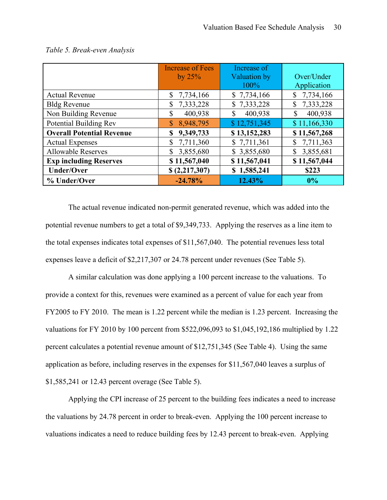|                                  | <b>Increase of Fees</b><br>by $25\%$ | Increase of<br>Valuation by | Over/Under                |
|----------------------------------|--------------------------------------|-----------------------------|---------------------------|
|                                  |                                      | 100%                        | Application               |
| <b>Actual Revenue</b>            | \$7,734,166                          | \$7,734,166                 | 7,734,166<br>$\mathbb{S}$ |
| <b>Bldg Revenue</b>              | 7,333,228<br>\$                      | \$7,333,228                 | $\mathbb{S}$<br>7,333,228 |
| Non Building Revenue             | 400,938<br>\$                        | 400,938<br>\$               | 400,938<br>$\mathbb{S}$   |
| Potential Building Rev           | 8,948,795<br>$\mathbb{S}$            | \$12,751,345                | \$11,166,330              |
| <b>Overall Potential Revenue</b> | 9,349,733<br>\$                      | \$13,152,283                | \$11,567,268              |
| <b>Actual Expenses</b>           | 7,711,360<br>$\mathbb S$             | \$7,711,361                 | 7,711,363<br>\$           |
| <b>Allowable Reserves</b>        | 3,855,680<br>\$                      | \$3,855,680                 | 3,855,681<br>\$           |
| <b>Exp including Reserves</b>    | \$11,567,040                         | \$11,567,041                | \$11,567,044              |
| <b>Under/Over</b>                | \$(2,217,307)                        | \$1,585,241                 | \$223                     |
| % Under/Over                     | $-24.78%$                            | 12.43%                      | 0%                        |

#### *Table 5. Break-even Analysis*

The actual revenue indicated non-permit generated revenue, which was added into the potential revenue numbers to get a total of \$9,349,733. Applying the reserves as a line item to the total expenses indicates total expenses of \$11,567,040. The potential revenues less total expenses leave a deficit of \$2,217,307 or 24.78 percent under revenues (See Table 5).

A similar calculation was done applying a 100 percent increase to the valuations. To provide a context for this, revenues were examined as a percent of value for each year from FY2005 to FY 2010. The mean is 1.22 percent while the median is 1.23 percent. Increasing the valuations for FY 2010 by 100 percent from \$522,096,093 to \$1,045,192,186 multiplied by 1.22 percent calculates a potential revenue amount of \$12,751,345 (See Table 4). Using the same application as before, including reserves in the expenses for \$11,567,040 leaves a surplus of \$1,585,241 or 12.43 percent overage (See Table 5).

Applying the CPI increase of 25 percent to the building fees indicates a need to increase the valuations by 24.78 percent in order to break-even. Applying the 100 percent increase to valuations indicates a need to reduce building fees by 12.43 percent to break-even. Applying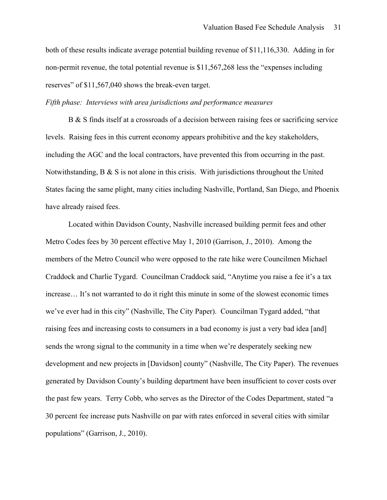both of these results indicate average potential building revenue of \$11,116,330. Adding in for non-permit revenue, the total potential revenue is \$11,567,268 less the "expenses including reserves" of \$11,567,040 shows the break-even target.

#### *Fifth phase: Interviews with area jurisdictions and performance measures*

B & S finds itself at a crossroads of a decision between raising fees or sacrificing service levels. Raising fees in this current economy appears prohibitive and the key stakeholders, including the AGC and the local contractors, have prevented this from occurring in the past. Notwithstanding, B & S is not alone in this crisis. With jurisdictions throughout the United States facing the same plight, many cities including Nashville, Portland, San Diego, and Phoenix have already raised fees.

Located within Davidson County, Nashville increased building permit fees and other Metro Codes fees by 30 percent effective May 1, 2010 (Garrison, J., 2010). Among the members of the Metro Council who were opposed to the rate hike were Councilmen Michael Craddock and Charlie Tygard. Councilman Craddock said, "Anytime you raise a fee it's a tax increase… It's not warranted to do it right this minute in some of the slowest economic times we've ever had in this city" (Nashville, The City Paper). Councilman Tygard added, "that raising fees and increasing costs to consumers in a bad economy is just a very bad idea [and] sends the wrong signal to the community in a time when we're desperately seeking new development and new projects in [Davidson] county" (Nashville, The City Paper). The revenues generated by Davidson County's building department have been insufficient to cover costs over the past few years. Terry Cobb, who serves as the Director of the Codes Department, stated "a 30 percent fee increase puts Nashville on par with rates enforced in several cities with similar populations" (Garrison, J., 2010).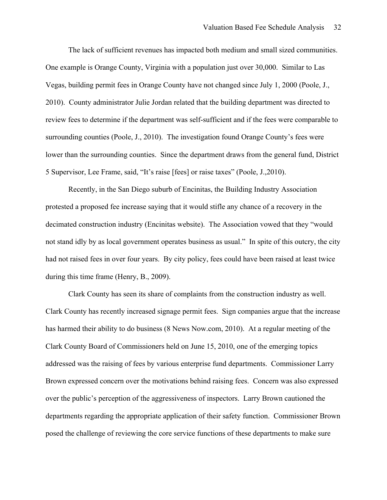The lack of sufficient revenues has impacted both medium and small sized communities. One example is Orange County, Virginia with a population just over 30,000. Similar to Las Vegas, building permit fees in Orange County have not changed since July 1, 2000 (Poole, J., 2010). County administrator Julie Jordan related that the building department was directed to review fees to determine if the department was self-sufficient and if the fees were comparable to surrounding counties (Poole, J., 2010). The investigation found Orange County's fees were lower than the surrounding counties. Since the department draws from the general fund, District 5 Supervisor, Lee Frame, said, "It's raise [fees] or raise taxes" (Poole, J.,2010).

Recently, in the San Diego suburb of Encinitas, the Building Industry Association protested a proposed fee increase saying that it would stifle any chance of a recovery in the decimated construction industry (Encinitas website). The Association vowed that they "would not stand idly by as local government operates business as usual." In spite of this outcry, the city had not raised fees in over four years. By city policy, fees could have been raised at least twice during this time frame (Henry, B., 2009).

Clark County has seen its share of complaints from the construction industry as well. Clark County has recently increased signage permit fees. Sign companies argue that the increase has harmed their ability to do business (8 News Now.com, 2010). At a regular meeting of the Clark County Board of Commissioners held on June 15, 2010, one of the emerging topics addressed was the raising of fees by various enterprise fund departments. Commissioner Larry Brown expressed concern over the motivations behind raising fees. Concern was also expressed over the public's perception of the aggressiveness of inspectors. Larry Brown cautioned the departments regarding the appropriate application of their safety function. Commissioner Brown posed the challenge of reviewing the core service functions of these departments to make sure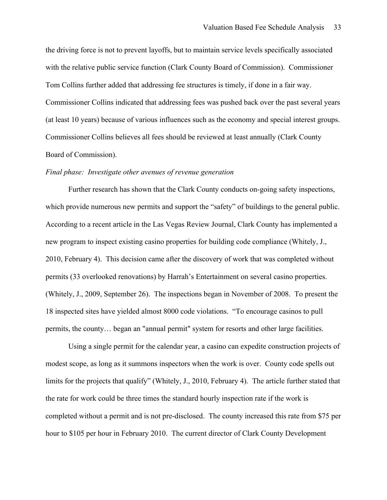the driving force is not to prevent layoffs, but to maintain service levels specifically associated with the relative public service function (Clark County Board of Commission). Commissioner Tom Collins further added that addressing fee structures is timely, if done in a fair way. Commissioner Collins indicated that addressing fees was pushed back over the past several years (at least 10 years) because of various influences such as the economy and special interest groups. Commissioner Collins believes all fees should be reviewed at least annually (Clark County Board of Commission).

#### *Final phase: Investigate other avenues of revenue generation*

Further research has shown that the Clark County conducts on-going safety inspections, which provide numerous new permits and support the "safety" of buildings to the general public. According to a recent article in the Las Vegas Review Journal, Clark County has implemented a new program to inspect existing casino properties for building code compliance (Whitely, J., 2010, February 4). This decision came after the discovery of work that was completed without permits (33 overlooked renovations) by Harrah's Entertainment on several casino properties. (Whitely, J., 2009, September 26). The inspections began in November of 2008. To present the 18 inspected sites have yielded almost 8000 code violations. "To encourage casinos to pull permits, the county… began an "annual permit" system for resorts and other large facilities.

Using a single permit for the calendar year, a casino can expedite construction projects of modest scope, as long as it summons inspectors when the work is over. County code spells out limits for the projects that qualify" (Whitely, J., 2010, February 4). The article further stated that the rate for work could be three times the standard hourly inspection rate if the work is completed without a permit and is not pre-disclosed. The county increased this rate from \$75 per hour to \$105 per hour in February 2010. The current director of Clark County Development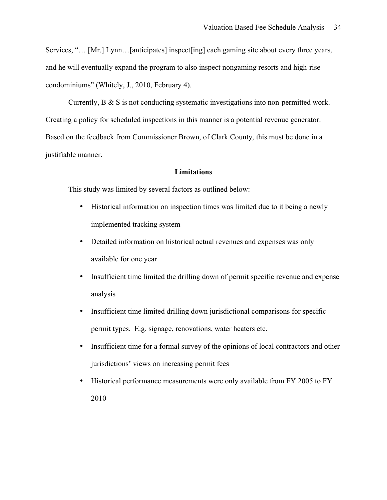Services, "… [Mr.] Lynn…[anticipates] inspect[ing] each gaming site about every three years, and he will eventually expand the program to also inspect nongaming resorts and high-rise condominiums" (Whitely, J., 2010, February 4).

Currently, B & S is not conducting systematic investigations into non-permitted work. Creating a policy for scheduled inspections in this manner is a potential revenue generator. Based on the feedback from Commissioner Brown, of Clark County, this must be done in a justifiable manner.

#### **Limitations**

This study was limited by several factors as outlined below:

- Historical information on inspection times was limited due to it being a newly implemented tracking system
- Detailed information on historical actual revenues and expenses was only available for one year
- Insufficient time limited the drilling down of permit specific revenue and expense analysis
- Insufficient time limited drilling down jurisdictional comparisons for specific permit types. E.g. signage, renovations, water heaters etc.
- Insufficient time for a formal survey of the opinions of local contractors and other jurisdictions' views on increasing permit fees
- Historical performance measurements were only available from FY 2005 to FY 2010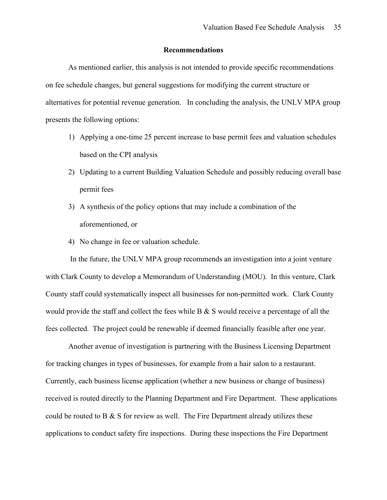#### **Recommendations**

As mentioned earlier, this analysis is not intended to provide specific recommendations on fee schedule changes, but general suggestions for modifying the current structure or alternatives for potential revenue generation. In concluding the analysis, the UNLV MPA group presents the following options:

- 1) Applying a one-time 25 percent increase to base permit fees and valuation schedules based on the CPI analysis
- 2) Updating to a current Building Valuation Schedule and possibly reducing overall base permit fees
- 3) A synthesis of the policy options that may include a combination of the aforementioned, or
- 4) No change in fee or valuation schedule.

 In the future, the UNLV MPA group recommends an investigation into a joint venture with Clark County to develop a Memorandum of Understanding (MOU). In this venture, Clark County staff could systematically inspect all businesses for non-permitted work. Clark County would provide the staff and collect the fees while B & S would receive a percentage of all the fees collected. The project could be renewable if deemed financially feasible after one year.

Another avenue of investigation is partnering with the Business Licensing Department for tracking changes in types of businesses, for example from a hair salon to a restaurant. Currently, each business license application (whether a new business or change of business) received is routed directly to the Planning Department and Fire Department. These applications could be routed to B  $\&$  S for review as well. The Fire Department already utilizes these applications to conduct safety fire inspections. During these inspections the Fire Department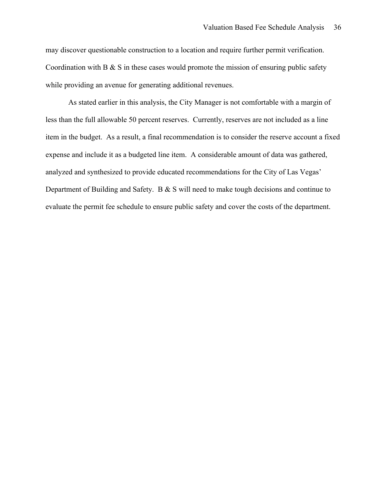may discover questionable construction to a location and require further permit verification. Coordination with B  $\&$  S in these cases would promote the mission of ensuring public safety while providing an avenue for generating additional revenues.

As stated earlier in this analysis, the City Manager is not comfortable with a margin of less than the full allowable 50 percent reserves. Currently, reserves are not included as a line item in the budget. As a result, a final recommendation is to consider the reserve account a fixed expense and include it as a budgeted line item. A considerable amount of data was gathered, analyzed and synthesized to provide educated recommendations for the City of Las Vegas' Department of Building and Safety. B & S will need to make tough decisions and continue to evaluate the permit fee schedule to ensure public safety and cover the costs of the department.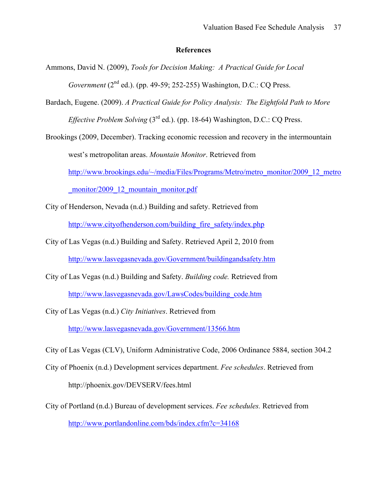#### **References**

- Ammons, David N. (2009), *Tools for Decision Making: A Practical Guide for Local Government* (2<sup>nd</sup> ed.). (pp. 49-59; 252-255) Washington, D.C.: CO Press.
- Bardach, Eugene. (2009). *A Practical Guide for Policy Analysis: The Eightfold Path to More Effective Problem Solving* (3<sup>rd</sup> ed.). (pp. 18-64) Washington, D.C.: CO Press.

Brookings (2009, December). Tracking economic recession and recovery in the intermountain west's metropolitan areas. *Mountain Monitor*. Retrieved from http://www.brookings.edu/~/media/Files/Programs/Metro/metro\_monitor/2009\_12\_metro monitor/2009\_12\_mountain\_monitor.pdf

City of Henderson, Nevada (n.d.) Building and safety. Retrieved from http://www.cityofhenderson.com/building\_fire\_safety/index.php

- City of Las Vegas (n.d.) Building and Safety. Retrieved April 2, 2010 from http://www.lasvegasnevada.gov/Government/buildingandsafety.htm
- City of Las Vegas (n.d.) Building and Safety. *Building code.* Retrieved from http://www.lasvegasnevada.gov/LawsCodes/building\_code.htm
- City of Las Vegas (n.d.) *City Initiatives*. Retrieved from http://www.lasvegasnevada.gov/Government/13566.htm

City of Las Vegas (CLV), Uniform Administrative Code, 2006 Ordinance 5884, section 304.2

- City of Phoenix (n.d.) Development services department. *Fee schedules*. Retrieved from http://phoenix.gov/DEVSERV/fees.html
- City of Portland (n.d.) Bureau of development services. *Fee schedules.* Retrieved from http://www.portlandonline.com/bds/index.cfm?c=34168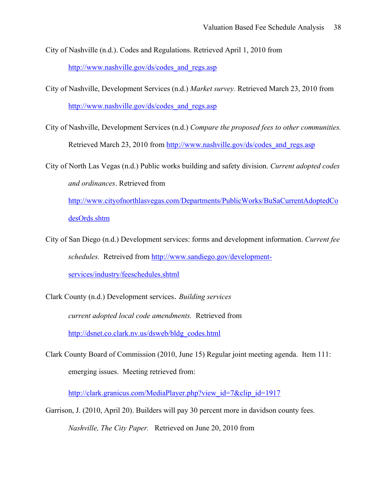City of Nashville (n.d.). Codes and Regulations. Retrieved April 1, 2010 from

http://www.nashville.gov/ds/codes\_and\_regs.asp

- City of Nashville, Development Services (n.d.) *Market survey.* Retrieved March 23, 2010 from http://www.nashville.gov/ds/codes\_and\_regs.asp
- City of Nashville, Development Services (n.d.) *Compare the proposed fees to other communities.* Retrieved March 23, 2010 from http://www.nashville.gov/ds/codes\_and\_regs.asp

City of North Las Vegas (n.d.) Public works building and safety division. *Current adopted codes and ordinances*. Retrieved from

http://www.cityofnorthlasvegas.com/Departments/PublicWorks/BuSaCurrentAdoptedCo desOrds.shtm

City of San Diego (n.d.) Development services: forms and development information. *Current fee schedules.* Retreived from http://www.sandiego.gov/developmentservices/industry/feeschedules.shtml

Clark County (n.d.) Development services. *Building services current adopted local code amendments.* Retrieved from http://dsnet.co.clark.nv.us/dsweb/bldg\_codes.html

Clark County Board of Commission (2010, June 15) Regular joint meeting agenda. Item 111: emerging issues. Meeting retrieved from:

http://clark.granicus.com/MediaPlayer.php?view\_id=7&clip\_id=1917

Garrison, J. (2010, April 20). Builders will pay 30 percent more in davidson county fees. *Nashville, The City Paper.* Retrieved on June 20, 2010 from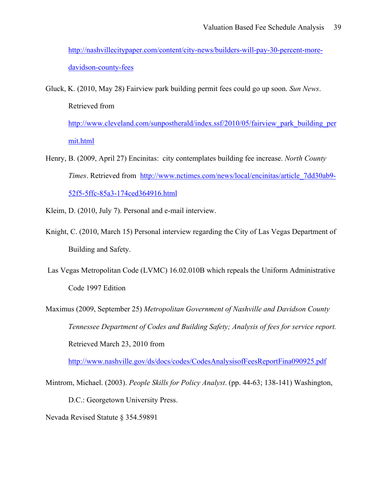http://nashvillecitypaper.com/content/city-news/builders-will-pay-30-percent-moredavidson-county-fees

Gluck, K. (2010, May 28) Fairview park building permit fees could go up soon. *Sun News*. Retrieved from http://www.cleveland.com/sunpostherald/index.ssf/2010/05/fairview\_park\_building\_per

mit.html

- Henry, B. (2009, April 27) Encinitas: city contemplates building fee increase. *North County Times*. Retrieved from http://www.nctimes.com/news/local/encinitas/article\_7dd30ab9- 52f5-5ffc-85a3-174ced364916.html
- Kleim, D. (2010, July 7). Personal and e-mail interview.
- Knight, C. (2010, March 15) Personal interview regarding the City of Las Vegas Department of Building and Safety.
- Las Vegas Metropolitan Code (LVMC) 16.02.010B which repeals the Uniform Administrative Code 1997 Edition
- Maximus (2009, September 25) *Metropolitan Government of Nashville and Davidson County Tennessee Department of Codes and Building Safety; Analysis of fees for service report.* Retrieved March 23, 2010 from

http://www.nashville.gov/ds/docs/codes/CodesAnalysisofFeesReportFina090925.pdf

Mintrom, Michael. (2003). *People Skills for Policy Analyst*. (pp. 44-63; 138-141) Washington, D.C.: Georgetown University Press. Nevada Revised Statute § 354.59891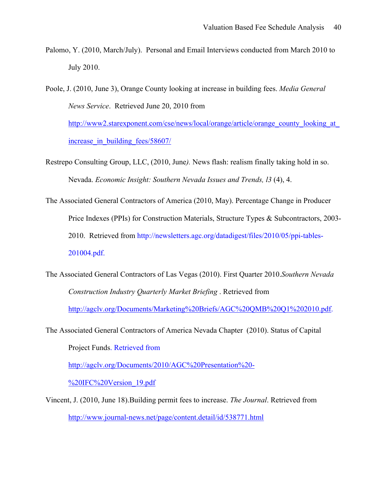- Palomo, Y. (2010, March/July). Personal and Email Interviews conducted from March 2010 to July 2010.
- Poole, J. (2010, June 3), Orange County looking at increase in building fees. *Media General News Service*. Retrieved June 20, 2010 from http://www2.starexponent.com/cse/news/local/orange/article/orange\_county\_looking\_at

increase in building fees/58607/

- Restrepo Consulting Group, LLC, (2010, June*).* News flash: realism finally taking hold in so. Nevada. *Economic Insight: Southern Nevada Issues and Trends, l3* (4), 4.
- The Associated General Contractors of America (2010, May). Percentage Change in Producer Price Indexes (PPIs) for Construction Materials, Structure Types & Subcontractors, 2003- 2010. Retrieved from http://newsletters.agc.org/datadigest/files/2010/05/ppi-tables-201004.pdf.
- The Associated General Contractors of Las Vegas (2010). First Quarter 2010.*Southern Nevada Construction Industry Quarterly Market Briefing* . Retrieved from http://agclv.org/Documents/Marketing%20Briefs/AGC%20QMB%20Q1%202010.pdf.

The Associated General Contractors of America Nevada Chapter (2010). Status of Capital Project Funds. Retrieved from http://agclv.org/Documents/2010/AGC%20Presentation%20-

%20IFC%20Version 19.pdf

Vincent, J. (2010, June 18).Building permit fees to increase. *The Journal*. Retrieved from http://www.journal-news.net/page/content.detail/id/538771.html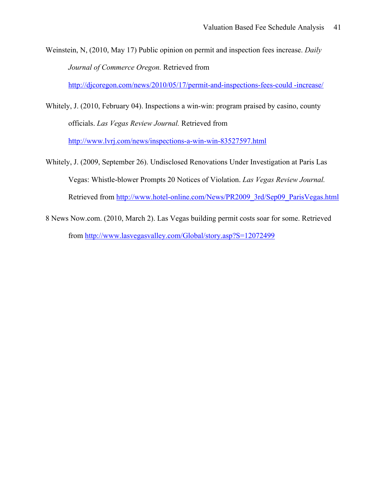Weinstein, N, (2010, May 17) Public opinion on permit and inspection fees increase. *Daily Journal of Commerce Oregon.* Retrieved from

http://djcoregon.com/news/2010/05/17/permit-and-inspections-fees-could -increase/

Whitely, J. (2010, February 04). Inspections a win-win: program praised by casino, county officials. *Las Vegas Review Journal.* Retrieved from

http://www.lvrj.com/news/inspections-a-win-win-83527597.html

- Whitely, J. (2009, September 26). Undisclosed Renovations Under Investigation at Paris Las Vegas: Whistle-blower Prompts 20 Notices of Violation. *Las Vegas Review Journal.* Retrieved from http://www.hotel-online.com/News/PR2009\_3rd/Sep09\_ParisVegas.html
- 8 News Now.com. (2010, March 2). Las Vegas building permit costs soar for some. Retrieved from http://www.lasvegasvalley.com/Global/story.asp?S=12072499